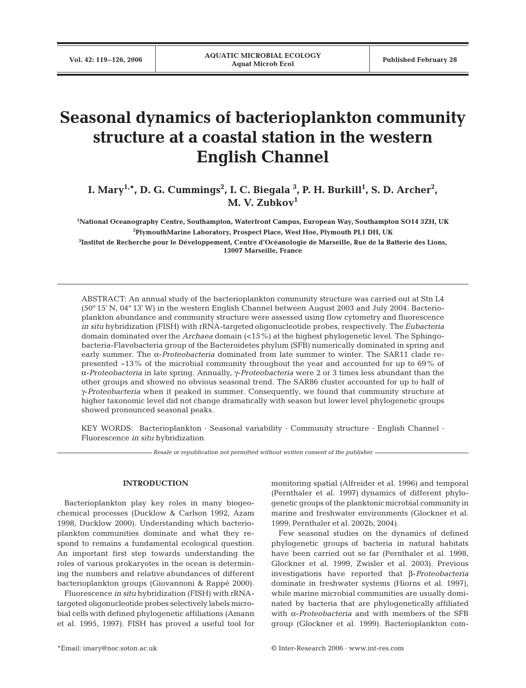# **Seasonal dynamics of bacterioplankton community structure at a coastal station in the western English Channel**

I. Mary<sup>1,</sup>\*, D. G. Cummings<sup>2</sup>, I. C. Biegala <sup>3</sup>, P. H. Burkill<sup>1</sup>, S. D. Archer<sup>2</sup>, **M. V. Zubkov1**

 **National Oceanography Centre, Southampton, Waterfront Campus, European Way, Southampton SO14 3ZH, UK PlymouthMarine Laboratory, Prospect Place, West Hoe, Plymouth PL1 DH, UK Institut de Recherche pour le Développement, Centre d'Océanologie de Marseille, Rue de la Batterie des Lions, 13007 Marseille, France**

ABSTRACT: An annual study of the bacterioplankton community structure was carried out at Stn L4 (50° 15' N, 04° 13' W) in the western English Channel between August 2003 and July 2004. Bacterioplankton abundance and community structure were assessed using flow cytometry and fluorescence *in situ* hybridization (FISH) with rRNA-targeted oligonucleotide probes, respectively. The *Eubacteria* domain dominated over the *Archaea* domain (<15%) at the highest phylogenetic level. The Sphingobacteria-Flavobacteria group of the Bacteroidetes phylum (SFB) numerically dominated in spring and early summer. The α-*Proteobacteria* dominated from late summer to winter. The SAR11 clade represented ~13% of the microbial community throughout the year and accounted for up to 69% of α-*Proteobacteria* in late spring. Annually, γ-*Proteobacteria* were 2 or 3 times less abundant than the other groups and showed no obvious seasonal trend. The SAR86 cluster accounted for up to half of γ-*Proteobacteria* when it peaked in summer. Consequently, we found that community structure at higher taxonomic level did not change dramatically with season but lower level phylogenetic groups showed pronounced seasonal peaks.

KEY WORDS: Bacterioplankton · Seasonal variability · Community structure · English Channel · Fluorescence *in situ* hybridization

*Resale or republication not permitted without written consent of the publisher*

# **INTRODUCTION**

Bacterioplankton play key roles in many biogeochemical processes (Ducklow & Carlson 1992, Azam 1998, Ducklow 2000). Understanding which bacterioplankton communities dominate and what they respond to remains a fundamental ecological question. An important first step towards understanding the roles of various prokaryotes in the ocean is determining the numbers and relative abundances of different bacterioplankton groups (Giovannoni & Rappé 2000).

Fluorescence *in situ* hybridization (FISH) with rRNAtargeted oligonucleotide probes selectively labels microbial cells with defined phylogenetic affiliations (Amann et al. 1995, 1997). FISH has proved a useful tool for monitoring spatial (Alfreider et al. 1996) and temporal (Pernthaler et al. 1997) dynamics of different phylogenetic groups of the planktonicmicrobial community in marine and freshwater environments (Glockner et al. 1999, Pernthaler et al. 2002b, 2004).

Few seasonal studies on the dynamics of defined phylogenetic groups of bacteria in natural habitats have been carried out so far (Pernthaler et al. 1998, Glockner et al. 1999, Zwisler et al. 2003). Previous investigations have reported that β-*Proteobacteria* dominate in freshwater systems (Hiorns et al. 1997), while marine microbial communities are usually dominated by bacteria that are phylogenetically affiliated with α-*Proteobacteria* and with members of the SFB group (Glockner et al. 1999). Bacterioplankton com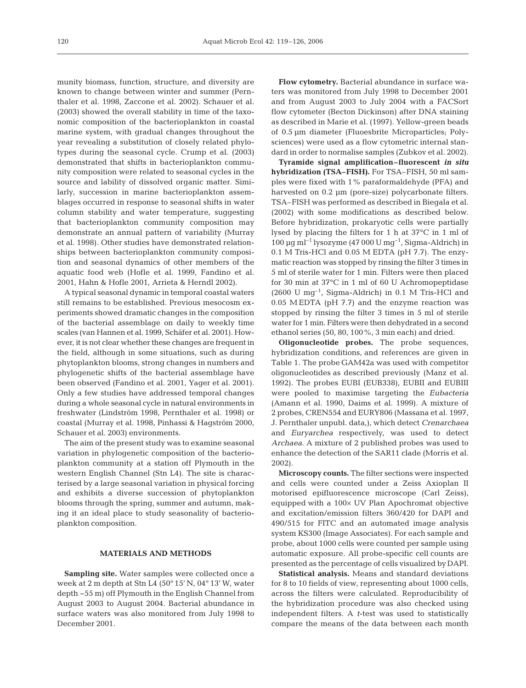munity biomass, function, structure, and diversity are known to change between winter and summer (Pernthaler et al. 1998, Zaccone et al. 2002). Schauer et al. (2003) showed the overall stability in time of the taxonomic composition of the bacterioplankton in coastal marine system, with gradual changes throughout the year revealing a substitution of closely related phylotypes during the seasonal cycle. Crump et al. (2003) demonstrated that shifts in bacterioplankton community composition were related to seasonal cycles in the source and lability of dissolved organic matter. Similarly, succession in marine bacterioplankton assemblages occurred in response to seasonal shifts in water column stability and water temperature, suggesting that bacterioplankton community composition may demonstrate an annual pattern of variability (Murray et al. 1998). Other studies have demonstrated relationships between bacterioplankton community composition and seasonal dynamics of other members of the aquatic food web (Hofle et al. 1999, Fandino et al. 2001, Hahn & Hofle 2001, Arrieta & Herndl 2002).

A typical seasonal dynamic in temporal coastal waters still remains to be established. Previous mesocosm experiments showed dramatic changes in the composition of the bacterial assemblage on daily to weekly time scales (van Hannen et al. 1999, Schäfer et al. 2001). However, it is not clear whether these changes are frequent in the field, although in some situations, such as during phytoplankton blooms, strong changes in numbers and phylogenetic shifts of the bacterial assemblage have been observed (Fandino et al. 2001, Yager et al. 2001). Only a few studies have addressed temporal changes during a whole seasonal cycle in natural environments in freshwater (Lindström 1998, Pernthaler et al. 1998) or coastal (Murray et al. 1998, Pinhassi & Hagström 2000, Schauer et al. 2003) environments.

The aim of the present study was to examine seasonal variation in phylogenetic composition of the bacterioplankton community at a station off Plymouth in the western English Channel (Stn L4). The site is characterised by a large seasonal variation in physical forcing and exhibits a diverse succession of phytoplankton blooms through the spring, summer and autumn, making it an ideal place to study seasonality of bacterioplankton composition.

# **MATERIALS AND METHODS**

**Sampling site.** Water samples were collected once a week at 2 m depth at Stn L4 (50° 15' N, 04° 13' W, water depth ~55 m) off Plymouth in the English Channel from August 2003 to August 2004. Bacterial abundance in surface waters was also monitored from July 1998 to December 2001.

**Flow cytometry.** Bacterial abundance in surface waters was monitored from July 1998 to December 2001 and from August 2003 to July 2004 with a FACSort flow cytometer (Becton Dickinson) after DNA staining as described in Marie et al. (1997). Yellow-green beads of 0.5 µm diameter (Fluoesbrite Microparticles; Polysciences) were used as a flow cytometric internal standard in order to normalise samples (Zubkov et al. 2002).

**Tyramide signal amplification–fluorescent** *in situ* **hybridization (TSA–FISH).** For TSA–FISH, 50 ml samples were fixed with 1% paraformaldehyde (PFA) and harvested on 0.2 µm (pore-size) polycarbonate filters. TSA–FISH was performed as described in Biegala et al. (2002) with some modifications as described below. Before hybridization, prokaryotic cells were partially lysed by placing the filters for 1 h at 37°C in 1 ml of 100 µg ml<sup>-1</sup> lysozyme (47 000 U mg<sup>-1</sup>, Sigma-Aldrich) in 0.1 M Tris-HCl and 0.05 M EDTA (pH 7.7). The enzymatic reaction was stopped by rinsing the filter 3 times in 5 ml of sterile water for 1 min. Filters were then placed for 30 min at 37°C in 1 ml of 60 U Achromopeptidase  $(2600 \text{ U mg}^{-1}$ , Sigma-Aldrich) in 0.1 M Tris-HCl and 0.05 M EDTA (pH 7.7) and the enzyme reaction was stopped by rinsing the filter 3 times in 5 ml of sterile water for 1 min. Filters were then dehydrated in a second ethanol series (50, 80, 100%, 3 min each) and dried.

**Oligonucleotide probes.** The probe sequences, hybridization conditions, and references are given in Table 1. The probe GAM42a was used with competitor oligonucleotides as described previously (Manz et al. 1992). The probes EUBI (EUB338), EUBII and EUBIII were pooled to maximise targeting the *Eubacteria* (Amann et al. 1990, Daims et al. 1999). A mixture of 2 probes, CREN554 and EURY806 (Massana et al. 1997, J. Pernthaler unpubl. data,), which detect *Crenarchaea* and *Euryarchea* respectively, was used to detect *Archaea.* A mixture of 2 published probes was used to enhance the detection of the SAR11 clade (Morris et al. 2002).

**Microscopy counts.** The filter sections were inspected and cells were counted under a Zeiss Axioplan II motorised epifluorescence microscope (Carl Zeiss), equipped with a 100× UV Plan Apochromat objective and excitation/emission filters 360/420 for DAPI and 490/515 for FITC and an automated image analysis system KS300 (Image Associates). For each sample and probe, about 1000 cells were counted per sample using automatic exposure. All probe-specific cell counts are presented as the percentage of cells visualized byDAPI.

**Statistical analysis.** Means and standard deviations for 8 to 10 fields of view, representing about 1000 cells, across the filters were calculated. Reproducibility of the hybridization procedure was also checked using independent filters. A *t*-test was used to statistically compare the means of the data between each month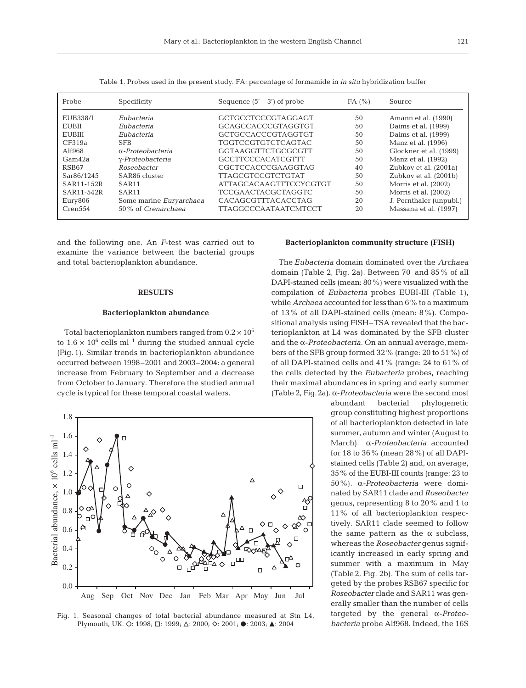| Probe           | Specificity              | Sequence $(5' – 3')$ of probe | FA(%) | Source                  |
|-----------------|--------------------------|-------------------------------|-------|-------------------------|
| <b>EUB338/I</b> | Eubacteria               | GCTGCCTCCCGTAGGAGT            | 50    | Amann et al. (1990)     |
| EUBII           | Eubacteria               | GCAGCCACCCGTAGGTGT            | 50    | Daims et al. (1999)     |
| <b>EUBIII</b>   | Eubacteria               | <b>GCTGCCACCCGTAGGTGT</b>     | 50    | Daims et al. (1999)     |
| CF319a          | <b>SFB</b>               | <b>TGGTCCGTGTCTCAGTAC</b>     | 50    | Manz et al. (1996)      |
| A1f968          | $\alpha$ -Proteobacteria | GGTAAGGTTCTGCGCGTT            | 50    | Glockner et al. (1999)  |
| Gam42a          | γ-Proteobacteria         | <b>GCCTTCCCACATCGTTT</b>      | 50    | Manz et al. (1992)      |
| RSB67           | Roseobacter              | CGCTCCACCCGAAGGTAG            | 40    | Zubkov et al. (2001a)   |
| Sar86/1245      | SAR86 cluster            | <b>TTAGCGTCCGTCTGTAT</b>      | 50    | Zubkov et al. (2001b)   |
| SAR11-152R      | SAR <sub>11</sub>        | ATTAGCACAAGTTTCCYCGTGT        | 50    | Morris et al. (2002)    |
| SAR11-542R      | SAR <sub>11</sub>        | <b>TCCGAACTACGCTAGGTC</b>     | 50    | Morris et al. (2002)    |
| Eury806         | Some marine Euryarchaea  | <b>CACAGCGTTTACACCTAG</b>     | 20    | J. Pernthaler (unpubl.) |
| Cren554         | 50% of Crenarchaea       | <b>TTAGGCCCAATAATCMTCCT</b>   | 20    | Massana et al. (1997)   |

Table 1. Probes used in the present study. FA: percentage of formamide in *in situ* hybridization buffer

and the following one. An *F*-test was carried out to examine the variance between the bacterial groups and total bacterioplankton abundance.

#### **RESULTS**

## **Bacterioplankton abundance**

Total bacterioplankton numbers ranged from  $0.2 \times 10^6$ to  $1.6 \times 10^6$  cells ml<sup>-1</sup> during the studied annual cycle (Fig. 1). Similar trends in bacterioplankton abundance occurred between 1998–2001 and 2003–2004: a general increase from February to September and a decrease from October to January. Therefore the studied annual cycle is typical for these temporal coastal waters.



Fig. 1. Seasonal changes of total bacterial abundance measured at Stn L4, Plymouth, UK. O: 1998; □: 1999; △: 2000; ◇: 2001; ●: 2003; ▲: 2004

#### **Bacterioplankton community structure (FISH)**

The *Eubacteria* domain dominated over the *Archaea* domain (Table 2, Fig. 2a). Between 70 and 85% of all DAPI-stained cells (mean: 80%) were visualized with the compilation of *Eubacteria* probes EUBI-III (Table 1), while *Archaea* accounted for lessthan 6% to a maximum of 13% of all DAPI-stained cells (mean: 8%). Compositional analysis using FISH–TSA revealed that the bacterioplankton at L4 was dominated by the SFB cluster and the α-*Proteobacteria.* On an annual average, members of the SFB group formed 32% (range: 20 to 51%) of of all DAPI-stained cells and 41% (range: 24 to 61% of the cells detected by the *Eubacteria* probes, reaching their maximal abundances in spring and early summer (Table 2, Fig.2a). α-*Proteobacteria* were the second most

> abundant bacterial phylogenetic group constituting highest proportions of all bacterioplankton detected in late summer, autumn and winter (August to March). α*-Proteobacteria* accounted for 18 to 36% (mean 28%) of all DAPIstained cells (Table 2) and, on average, 35% of the EUBI-III counts (range: 23 to 50%). α*-Proteobacteria* were dominated by SAR11 clade and *Roseobacter* genus, representing 8 to 20% and 1 to 11% of all bacterioplankton respectively. SAR11 clade seemed to follow the same pattern as the  $\alpha$  subclass, whereas the *Roseobacter* genus significantly increased in early spring and summer with a maximum in May (Table2, Fig. 2b). The sum of cells targeted by the probes RSB67 specific for *Roseobacter* clade and SAR11 was generally smaller than the number of cells targeted by the general α-*Proteobacteria* probe Alf968. Indeed, the 16S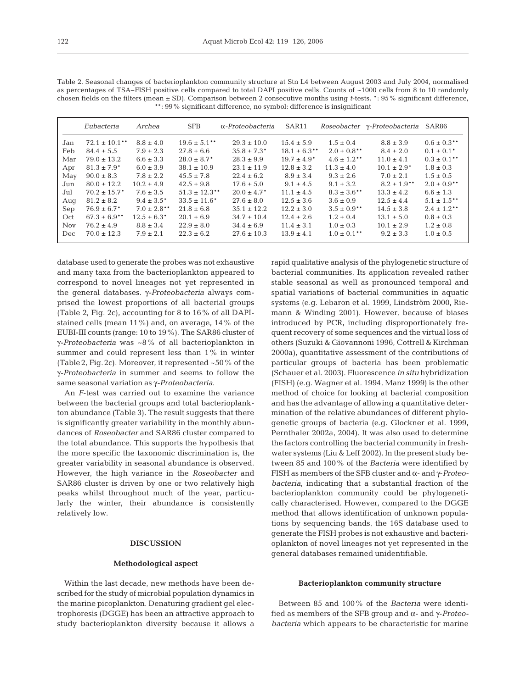|      | Eubacteria                   | Archea           | <b>SFB</b>                  | $\alpha$ -Proteobacteria    | SAR11             |                  | Roseobacter y-Proteobacteria | SAR86            |
|------|------------------------------|------------------|-----------------------------|-----------------------------|-------------------|------------------|------------------------------|------------------|
| Jan  | $72.1 \pm 10.1$ **           | $8.8 \pm 4.0$    | $19.6 \pm 5.1$ **           | $29.3 \pm 10.0$             | $15.4 \pm 5.9$    | $1.5 \pm 0.4$    | $8.8 \pm 3.9$                | $0.6 \pm 0.3$ ** |
| Feb  | $84.4 \pm 5.5$               | $7.9 \pm 2.3$    | $27.8 \pm 6.6$              | $35.8 \pm 7.3*$             | $18.1 \pm 6.3$ ** | $2.0 \pm 0.8$ ** | $8.4 \pm 2.0$                | $0.1 \pm 0.1^*$  |
| Mar  | $79.0 \pm 13.2$              | $6.6 \pm 3.3$    | $28.0 \pm 8.7$ <sup>*</sup> | $28.3 \pm 9.9$              | $19.7 \pm 4.9^*$  | $4.6 \pm 1.2$ ** | $11.0 \pm 4.1$               | $0.3 \pm 0.1$ ** |
| Apr  | $81.3 \pm 7.9$ <sup>*</sup>  | $6.0 \pm 3.9$    | $38.1 \pm 10.9$             | $23.1 \pm 11.9$             | $12.8 \pm 3.2$    | $11.3 \pm 4.0$   | $10.1 \pm 2.9^*$             | $1.8 \pm 0.3$    |
| May  | $90.0 \pm 8.3$               | $7.8 \pm 2.2$    | $45.5 \pm 7.8$              | $22.4 \pm 6.2$              | $8.9 \pm 3.4$     | $9.3 \pm 2.6$    | $7.0 \pm 2.1$                | $1.5 \pm 0.5$    |
| Jun  | $80.0 \pm 12.2$              | $10.2 \pm 4.9$   | $42.5 \pm 9.8$              | $17.6 \pm 5.0$              | $9.1 \pm 4.5$     | $9.1 \pm 3.2$    | $8.2 \pm 1.9$ **             | $2.0 \pm 0.9$ ** |
| Jul  | $70.2 \pm 15.7$ <sup>*</sup> | $7.6 \pm 3.5$    | $51.3 \pm 12.3$ **          | $20.0 \pm 4.7$ <sup>*</sup> | $11.1 \pm 4.5$    | $8.3 \pm 3.6$ ** | $13.3 \pm 4.2$               | $6.6 \pm 1.3$    |
| Aug  | $81.2 \pm 8.2$               | $9.4 \pm 3.5^*$  | $33.5 \pm 11.6^*$           | $27.6 \pm 8.0$              | $12.5 \pm 3.6$    | $3.6 \pm 0.9$    | $12.5 \pm 4.4$               | $5.1 \pm 1.5$ ** |
| Sep  | $76.9 \pm 6.7$ <sup>*</sup>  | $7.0 \pm 2.8$ ** | $21.8 \pm 6.8$              | $35.1 \pm 12.2$             | $12.2 \pm 3.0$    | $3.5 \pm 0.9$ ** | $14.5 \pm 3.8$               | $2.4 \pm 1.2$ ** |
| Oct  | $67.3 \pm 6.9$ **            | $12.5 \pm 6.3^*$ | $20.1 \pm 6.9$              | $34.7 \pm 10.4$             | $12.4 \pm 2.6$    | $1.2 \pm 0.4$    | $13.1 \pm 5.0$               | $0.8 \pm 0.3$    |
| Nov. | $76.2 \pm 4.9$               | $8.8 \pm 3.4$    | $22.9 \pm 8.0$              | $34.4 \pm 6.9$              | $11.4 \pm 3.1$    | $1.0 \pm 0.3$    | $10.1 \pm 2.9$               | $1.2 \pm 0.8$    |
| Dec. | $70.0 \pm 12.3$              | $7.9 \pm 2.1$    | $22.3 \pm 6.2$              | $27.6 \pm 10.3$             | $13.9 \pm 4.1$    | $1.0 \pm 0.1$ ** | $9.2 \pm 3.3$                | $1.0 \pm 0.5$    |

Table 2. Seasonal changes of bacterioplankton community structure at Stn L4 between August 2003 and July 2004, normalised as percentages of TSA–FISH positive cells compared to total DAPI positive cells. Counts of ~1000 cells from 8 to 10 randomly chosen fields on the filters (mean ± SD). Comparison between 2 consecutive months using *t*-tests, \*: 95% significant difference, \*\*: 99% significant difference, no symbol: difference is insignificant

database used to generate the probes was not exhaustive and many taxa from the bacterioplankton appeared to correspond to novel lineages not yet represented in the general databases. γ*-Proteobacteria* always comprised the lowest proportions of all bacterial groups (Table 2, Fig. 2c), accounting for 8 to 16% of all DAPIstained cells (mean 11%) and, on average, 14% of the EUBI-III counts (range: 10 to 19%). The SAR86 cluster of γ*-Proteobacteria* was ~8% of all bacterioplankton in summer and could represent less than 1% in winter (Table2, Fig.2c). Moreover, it represented ~50% of the γ*-Proteobacteria* in summer and seems to follow the same seasonal variation as γ*-Proteobacteria*.

An *F*-test was carried out to examine the variance between the bacterial groups and total bacterioplankton abundance (Table 3). The result suggests that there is significantly greater variability in the monthly abundances of *Roseobacter* and SAR86 cluster compared to the total abundance. This supports the hypothesis that the more specific the taxonomic discrimination is, the greater variability in seasonal abundance is observed. However, the high variance in the *Roseobacter* and SAR86 cluster is driven by one or two relatively high peaks whilst throughout much of the year, particularly the winter, their abundance is consistently relatively low.

## **DISCUSSION**

#### **Methodological aspect**

Within the last decade, new methods have been described for the study of microbial population dynamics in the marine picoplankton. Denaturing gradient gel electrophoresis (DGGE) has been an attractive approach to study bacterioplankton diversity because it allows a rapid qualitative analysis of the phylogenetic structure of bacterial communities. Its application revealed rather stable seasonal as well as pronounced temporal and spatial variations of bacterial communities in aquatic systems (e.g. Lebaron et al. 1999, Lindström 2000, Riemann & Winding 2001). However, because of biases introduced by PCR, including disproportionately frequent recovery of some sequences and the virtual loss of others (Suzuki & Giovannoni 1996, Cottrell & Kirchman 2000a), quantitative assessment of the contributions of particular groups of bacteria has been problematic (Schauer et al. 2003). Fluorescence *in situ* hybridization (FISH) (e.g. Wagner et al. 1994, Manz 1999) is the other method of choice for looking at bacterial composition and has the advantage of allowing a quantitative determination of the relative abundances of different phylogenetic groups of bacteria (e.g. Glockner et al. 1999, Pernthaler 2002a, 2004). It was also used to determine the factors controlling the bacterial community in freshwater systems (Liu & Leff 2002). In the present study between 85 and 100% of the *Bacteria* were identified by FISH as members of the SFB cluster and α- and γ-*Proteobacteria*, indicating that a substantial fraction of the bacterioplankton community could be phylogenetically characterised. However, compared to the DGGE method that allows identification of unknown populations by sequencing bands, the 16S database used to generate the FISH probes is not exhaustive and bacterioplankton of novel lineages not yet represented in the general databases remained unidentifiable.

#### **Bacterioplankton community structure**

Between 85 and 100% of the *Bacteria* were identified as members of the SFB group and α- and γ-*Proteobacteria* which appears to be characteristic for marine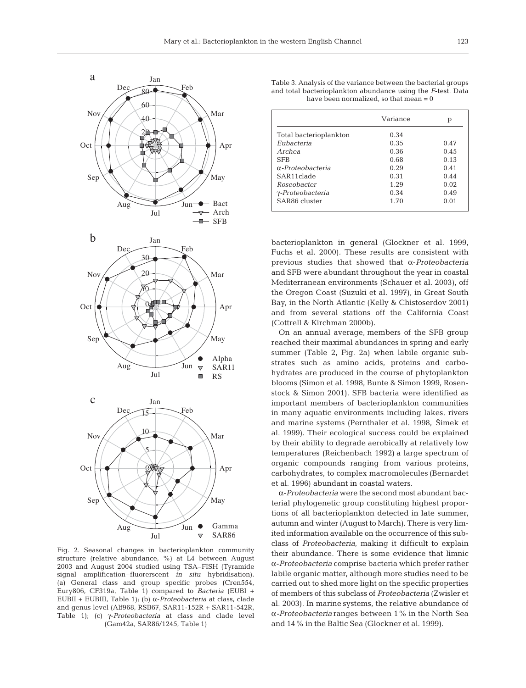

Fig. 2. Seasonal changes in bacterioplankton community structure (relative abundance, %) at L4 between August 2003 and August 2004 studied using TSA–FISH (Tyramide signal amplification–fluorerscent *in situ* hybridisation). (a) General class and group specific probes (Cren554, Eury806, CF319a, Table 1) compared to *Bacteria* (EUBI + EUBII + EUBIII, Table 1); (b) α-*Proteobacteria* at class, clade and genus level (Alf968, RSB67, SAR11-152R + SAR11-542R, Table 1); (c) γ-*Proteobacteria* at class and clade level (Gam42a, SAR86/1245, Table 1)

| Table 3. Analysis of the variance between the bacterial groups |
|----------------------------------------------------------------|
| and total bacterioplankton abundance using the F-test. Data    |
| have been normalized, so that mean $= 0$                       |

| Variance | р    |
|----------|------|
| 0.34     |      |
| 0.35     | 0.47 |
| 0.36     | 0.45 |
| 0.68     | 0.13 |
| 0.29     | 0.41 |
| 0.31     | 0.44 |
| 1.29     | 0.02 |
| 0.34     | 0.49 |
| 1.70     | 0.01 |
|          |      |

bacterioplankton in general (Glockner et al. 1999, Fuchs et al. 2000)*.* These results are consistent with previous studies that showed that α-*Proteobacteria* and SFB were abundant throughout the year in coastal Mediterranean environments (Schauer et al. 2003), off the Oregon Coast (Suzuki et al. 1997), in Great South Bay, in the North Atlantic (Kelly & Chistoserdov 2001) and from several stations off the California Coast (Cottrell & Kirchman 2000b).

On an annual average, members of the SFB group reached their maximal abundances in spring and early summer (Table 2, Fig. 2a) when labile organic substrates such as amino acids, proteins and carbohydrates are produced in the course of phytoplankton blooms (Simon et al. 1998, Bunte & Simon 1999, Rosenstock & Simon 2001). SFB bacteria were identified as important members of bacterioplankton communities in many aquatic environments including lakes, rivers and marine systems (Pernthaler et al. 1998, Šimek et al. 1999). Their ecological success could be explained by their ability to degrade aerobically at relatively low temperatures (Reichenbach 1992) a large spectrum of organic compounds ranging from various proteins, carbohydrates, to complex macromolecules (Bernardet et al. 1996) abundant in coastal waters.

α-*Proteobacteria* were the second most abundant bacterial phylogenetic group constituting highest proportions of all bacterioplankton detected in late summer, autumn and winter (August to March). There is very limited information available on the occurrence of this subclass of *Proteobacteria*, making it difficult to explain their abundance. There is some evidence that limnic α-*Proteobacteria* comprise bacteria which prefer rather labile organic matter, although more studies need to be carried out to shed more light on the specific properties of members of this subclass of *Proteobacteria* (Zwisler et al. 2003). In marine systems, the relative abundance of α*-Proteobacteria* ranges between 1% in the North Sea and 14% in the Baltic Sea (Glockner et al. 1999).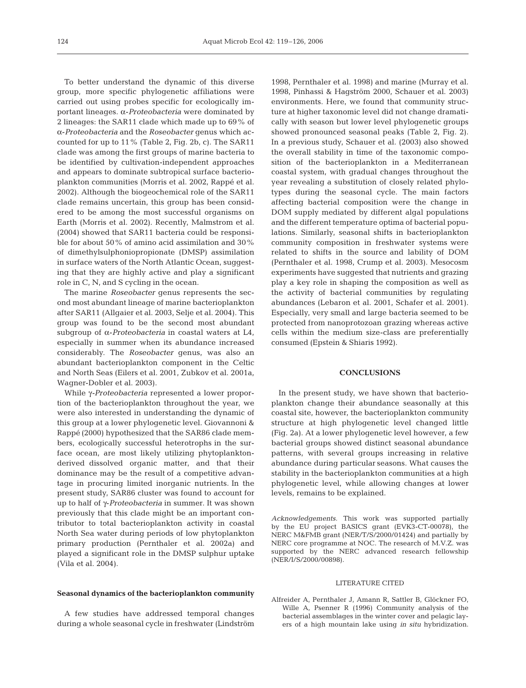To better understand the dynamic of this diverse group, more specific phylogenetic affiliations were carried out using probes specific for ecologically important lineages. α-*Proteobacteria* were dominated by 2 lineages: the SAR11 clade which made up to 69% of α-*Proteobacteria* and the *Roseobacter* genus which accounted for up to 11% (Table 2, Fig. 2b, c). The SAR11 clade was among the first groups of marine bacteria to be identified by cultivation-independent approaches and appears to dominate subtropical surface bacterioplankton communities (Morris et al. 2002, Rappé et al. 2002). Although the biogeochemical role of the SAR11 clade remains uncertain, this group has been considered to be among the most successful organisms on Earth (Morris et al. 2002). Recently, Malmstrom et al. (2004) showed that SAR11 bacteria could be responsible for about 50% of amino acid assimilation and 30% of dimethylsulphoniopropionate (DMSP) assimilation in surface waters of the North Atlantic Ocean, suggesting that they are highly active and play a significant role in C, N, and S cycling in the ocean.

The marine *Roseobacter* genus represents the second most abundant lineage of marine bacterioplankton after SAR11 (Allgaier et al. 2003, Selje et al. 2004). This group was found to be the second most abundant subgroup of α-*Proteobacteria* in coastal waters at L4, especially in summer when its abundance increased considerably. The *Roseobacter* genus, was also an abundant bacterioplankton component in the Celtic and North Seas (Eilers et al. 2001, Zubkov et al. 2001a, Wagner-Dobler et al. 2003).

While γ*-Proteobacteria* represented a lower proportion of the bacterioplankton throughout the year, we were also interested in understanding the dynamic of this group at a lower phylogenetic level. Giovannoni & Rappé (2000) hypothesized that the SAR86 clade members, ecologically successful heterotrophs in the surface ocean, are most likely utilizing phytoplanktonderived dissolved organic matter, and that their dominance may be the result of a competitive advantage in procuring limited inorganic nutrients. In the present study, SAR86 cluster was found to account for up to half of γ-*Proteobacteria* in summer. It was shown previously that this clade might be an important contributor to total bacterioplankton activity in coastal North Sea water during periods of low phytoplankton primary production (Pernthaler et al. 2002a) and played a significant role in the DMSP sulphur uptake (Vila et al. 2004).

## **Seasonal dynamics of the bacterioplankton community**

A few studies have addressed temporal changes during a whole seasonal cycle in freshwater (Lindström 1998, Pernthaler et al. 1998) and marine (Murray et al. 1998, Pinhassi & Hagström 2000, Schauer et al. 2003) environments. Here, we found that community structure at higher taxonomic level did not change dramatically with season but lower level phylogenetic groups showed pronounced seasonal peaks (Table 2, Fig. 2). In a previous study, Schauer et al. (2003) also showed the overall stability in time of the taxonomic composition of the bacterioplankton in a Mediterranean coastal system, with gradual changes throughout the year revealing a substitution of closely related phylotypes during the seasonal cycle. The main factors affecting bacterial composition were the change in DOM supply mediated by different algal populations and the different temperature optima of bacterial populations. Similarly, seasonal shifts in bacterioplankton community composition in freshwater systems were related to shifts in the source and lability of DOM (Pernthaler et al. 1998, Crump et al. 2003). Mesocosm experiments have suggested that nutrients and grazing play a key role in shaping the composition as well as the activity of bacterial communities by regulating abundances (Lebaron et al. 2001, Schafer et al. 2001). Especially, very small and large bacteria seemed to be protected from nanoprotozoan grazing whereas active cells within the medium size-class are preferentially consumed (Epstein & Shiaris 1992).

## **CONCLUSIONS**

In the present study, we have shown that bacterioplankton change their abundance seasonally at this coastal site, however, the bacterioplankton community structure at high phylogenetic level changed little (Fig. 2a). At a lower phylogenetic level however, a few bacterial groups showed distinct seasonal abundance patterns, with several groups increasing in relative abundance during particular seasons. What causes the stability in the bacterioplankton communities at a high phylogenetic level, while allowing changes at lower levels, remains to be explained.

*Acknowledgements.* This work was supported partially by the EU project BASICS grant (EVK3-CT-00078), the NERC M&FMB grant (NER/T/S/2000/01424) and partially by NERC core programme at NOC. The research of M.V.Z. was supported by the NERC advanced research fellowship (NER/I/S/2000/00898).

## LITERATURE CITED

Alfreider A, Pernthaler J, Amann R, Sattler B, Glöckner FO, Wille A, Psenner R (1996) Community analysis of the bacterial assemblages in the winter cover and pelagic layers of a high mountain lake using *in situ* hybridization.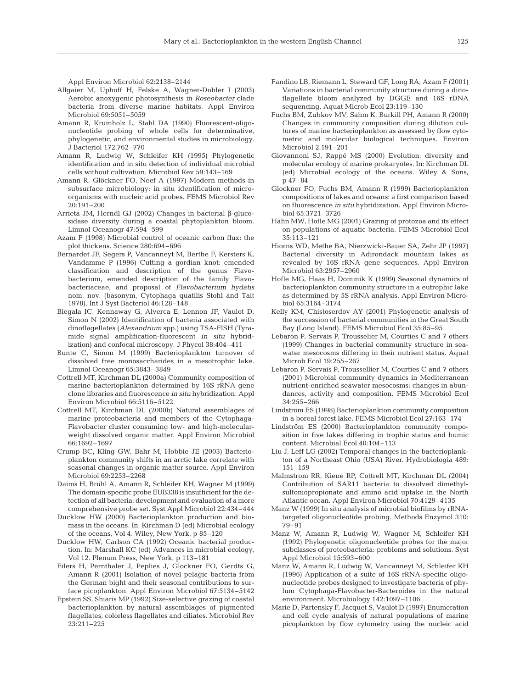Appl Environ Microbiol 62:2138–2144

- Allgaier M, Uphoff H, Felske A, Wagner-Dobler I (2003) Aerobic anoxygenic photosynthesis in *Roseobacter* clade bacteria from diverse marine habitats. Appl Environ Microbiol 69:5051–5059
- Amann R, Krumholz L, Stahl DA (1990) Fluorescent-oligonucleotide probing of whole cells for determinative, phylogenetic, and environmental studies in microbiology. J Bacteriol 172:762–770
- Amann R, Ludwig W, Schleifer KH (1995) Phylogenetic identification and in situ detection of individual microbial cells without cultivation. Microbiol Rev 59:143–169
- Amann R, Glöckner FO, Neef A (1997) Modern methods in subsurface microbiology: in situ identification of microorganisms with nucleic acid probes. FEMS Microbiol Rev 20:191–200
- Arrieta JM, Herndl GJ (2002) Changes in bacterial β-glucosidase diversity during a coastal phytoplankton bloom. Limnol Oceanogr 47:594–599
- Azam F (1998) Microbial control of oceanic carbon flux: the plot thickens. Science 280:694–696
- Bernardet JF, Segers P, Vancanneyt M, Berthe F, Kersters K, Vandamme P (1996) Cutting a gordian knot: emended classification and description of the genus Flavobacterium, emended description of the family Flavobacteriaceae, and proposal of *Flavobacterium hydatis* nom. nov. (basonym, Cytophaga quatilis Stohl and Tait 1978). Int J Syst Bacteriol 46:128–148
- Biegala IC, Kennaway G, Alverca E, Lennon JF, Vaulot D, Simon N (2002) Identification of bacteria associated with dinoflagellates (*Alexandrium* spp.) using TSA-FISH (Tyramide signal amplification-fluorescent *in situ* hybridization) and confocal microscopy. J Phycol 38:404–411
- Bunte C, Simon M (1999) Bacterioplankton turnover of dissolved free monosaccharides in a mesotrophic lake. Limnol Oceanogr 65:3843–3849
- Cottrell MT, Kirchman DL (2000a) Community composition of marine bacterioplankton determined by 16S rRNA gene clone libraries and fluorescence *in situ* hybridization. Appl Environ Microbiol 66:5116–5122
- Cottrell MT, Kirchman DL (2000b) Natural assemblages of marine proteobacteria and members of the Cytophaga-Flavobacter cluster consuming low- and high-molecularweight dissolved organic matter. Appl Environ Microbiol 66:1692–1697
- Crump BC, Kling GW, Bahr M, Hobbie JE (2003) Bacterioplankton community shifts in an arctic lake correlate with seasonal changes in organic matter source. Appl Environ Microbiol 69:2253–2268
- Daims H, Brühl A, Amann R, Schleifer KH, Wagner M (1999) The domain-specific probe EUB338 is insufficient for the detection of all bacteria: development and evaluation of a more comprehensive probe set. Syst Appl Microbiol 22:434–444
- Ducklow HW (2000) Bacterioplankton production and biomass in the oceans. In: Kirchman D (ed) Microbial ecology of the oceans, Vol 4. Wiley, New York, p 85–120
- Ducklow HW, Carlson CA (1992) Oceanic bacterial production. In: Marshall KC (ed) Advances in microbial ecology, Vol 12. Plenum Press, New York, p 113–181
- Eilers H, Pernthaler J, Peplies J, Glockner FO, Gerdts G, Amann R (2001) Isolation of novel pelagic bacteria from the German bight and their seasonal contributions to surface picoplankton. Appl Environ Microbiol 67:5134–5142
- Epstein SS, Shiaris MP (1992) Size-selective grazing of coastal bacterioplankton by natural assemblages of pigmented flagellates, colorless flagellates and ciliates. Microbiol Rev 23:211–225
- Fandino LB, Riemann L, Steward GF, Long RA, Azam F (2001) Variations in bacterial community structure during a dinoflagellate bloom analyzed by DGGE and 16S rDNA sequencing. Aquat Microb Ecol 23:119–130
- Fuchs BM, Zubkov MV, Sahm K, Burkill PH, Amann R (2000) Changes in community composition during dilution cultures of marine bacterioplankton as assessed by flow cytometric and molecular biological techniques. Environ Microbiol 2:191–201
- Giovannoni SJ, Rappé MS (2000) Evolution, diversity and molecular ecology of marine prokaryotes. In: Kirchman DL (ed) Microbial ecology of the oceans. Wiley & Sons, p 47–84
- Glockner FO, Fuchs BM, Amann R (1999) Bacterioplankton compositions of lakes and oceans: a first comparison based on fluorescence *in situ* hybridization. Appl Environ Microbiol 65:3721–3726
- Hahn MW, Hofle MG (2001) Grazing of protozoa and its effect on populations of aquatic bacteria. FEMS Microbiol Ecol 35:113–121
- Hiorns WD, Methe BA, Nierzwicki-Bauer SA, Zehr JP (1997) Bacterial diversity in Adirondack mountain lakes as revealed by 16S rRNA gene sequences. Appl Environ Microbiol 63:2957–2960
- Hofle MG, Haas H, Dominik K (1999) Seasonal dynamics of bacterioplankton community structure in a eutrophic lake as determined by 5S rRNA analysis. Appl Environ Microbiol 65:3164–3174
- Kelly KM, Chistoserdov AY (2001) Phylogenetic analysis of the succession of bacterial communities in the Great South Bay (Long Island). FEMS Microbiol Ecol 35:85–95
- Lebaron P, Servais P, Trousselier M, Courties C and 7 others (1999) Changes in bacterial community structure in seawater mesocosms differing in their nutrient status. Aquat Microb Ecol 19:255–267
- Lebaron P, Servais P, Troussellier M, Courties C and 7 others (2001) Microbial community dynamics in Mediterranean nutrient-enriched seawater mesocosms: changes in abundances, activity and composition. FEMS Microbiol Ecol 34:255–266
- Lindström ES (1998) Bacterioplankton community composition in a boreal forest lake. FEMS Microbiol Ecol 27:163–174
- Lindström ES (2000) Bacterioplankton community composition in five lakes differing in trophic status and humic content. Microbial Ecol 40:104–113
- Liu J, Leff LG (2002) Temporal changes in the bacterioplankton of a Northeast Ohio (USA) River. Hydrobiologia 489: 151–159
- Malmstrom RR, Kiene RP, Cottrell MT, Kirchman DL (2004) Contribution of SAR11 bacteria to dissolved dimethylsulfoniopropionate and amino acid uptake in the North Atlantic ocean. Appl Environ Microbiol 70:4129–4135
- Manz W (1999) In situ analysis of microbial biofilms by rRNAtargeted oligonucleotide probing. Methods Enzymol 310: 79–91
- Manz W, Amann R, Ludwig W, Wagner M, Schleifer KH (1992) Phylogenetic oligonucleotide probes for the major subclasses of proteobacteria: problems and solutions. Syst Appl Microbiol 15:593–600
- Manz W, Amann R, Ludwig W, Vancanneyt M, Schleifer KH (1996) Application of a suite of 16S rRNA-specific oligonucleotide probes designed to investigate bacteria of phylum Cytophaga-Flavobacter-Bacteroides in the natural environment. Microbiology 142:1097–1106
- Marie D, Partensky F, Jacquet S, Vaulot D (1997) Enumeration and cell cycle analysis of natural populations of marine picoplankton by flow cytometry using the nucleic acid